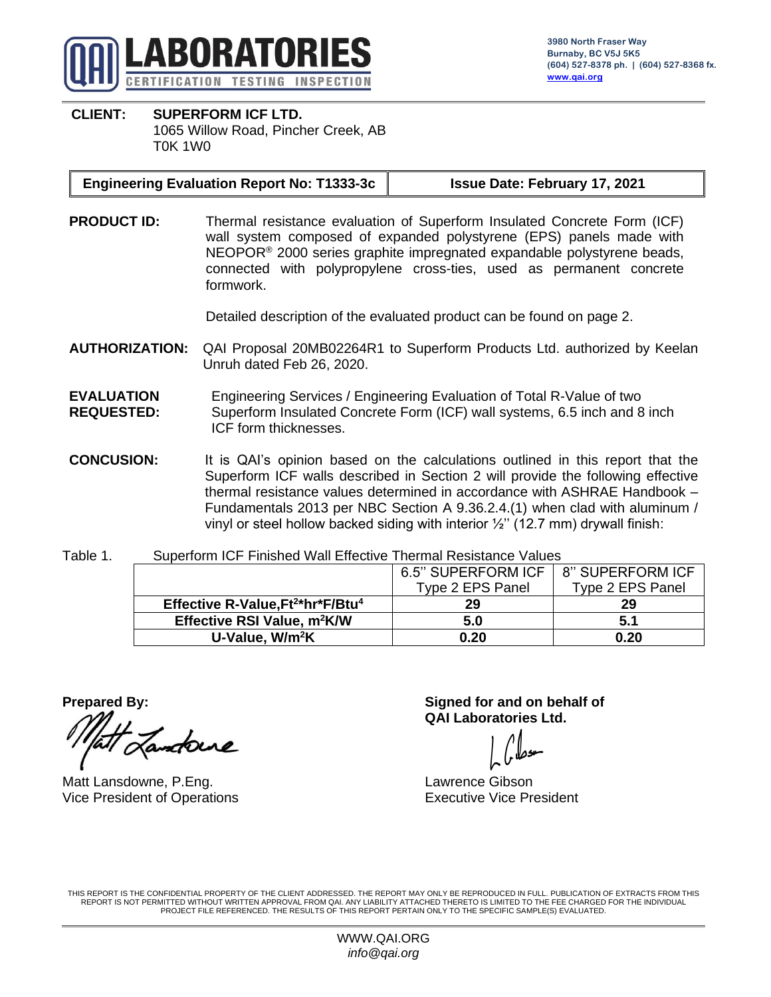

# **CLIENT: SUPERFORM ICF LTD.**

1065 Willow Road, Pincher Creek, AB T0K 1W0

#### **Engineering Evaluation Report No: T1333-3c Issue Date: February 17, 2021**

**PRODUCT ID:** Thermal resistance evaluation of Superform Insulated Concrete Form (ICF) wall system composed of expanded polystyrene (EPS) panels made with NEOPOR® 2000 series graphite impregnated expandable polystyrene beads, connected with polypropylene cross-ties, used as permanent concrete formwork.

Detailed description of the evaluated product can be found on page 2.

**AUTHORIZATION:** QAI Proposal 20MB02264R1 to Superform Products Ltd. authorized by Keelan Unruh dated Feb 26, 2020.

#### **EVALUATION REQUESTED:** Engineering Services / Engineering Evaluation of Total R-Value of two Superform Insulated Concrete Form (ICF) wall systems, 6.5 inch and 8 inch ICF form thicknesses.

**CONCUSION:** It is QAI's opinion based on the calculations outlined in this report that the Superform ICF walls described in Section 2 will provide the following effective thermal resistance values determined in accordance with ASHRAE Handbook – Fundamentals 2013 per NBC Section A 9.36.2.4.(1) when clad with aluminum / vinyl or steel hollow backed siding with interior  $\frac{1}{2}$ " (12.7 mm) drywall finish:

#### Table 1. Superform ICF Finished Wall Effective Thermal Resistance Values

|                                                           | 6.5" SUPERFORM ICF | 8" SUPERFORM ICF |
|-----------------------------------------------------------|--------------------|------------------|
|                                                           | Type 2 EPS Panel   | Type 2 EPS Panel |
| Effective R-Value, Ft <sup>2*</sup> hr*F/Btu <sup>4</sup> | 29                 | 29               |
| Effective RSI Value, m <sup>2</sup> K/W                   | 5.0                | 5.1              |
| U-Value, W/m <sup>2</sup> K                               | 0.20               | 0.20             |

Matt Lansdowne, P.Eng. No. 2006 and Matt Lawrence Gibson Vice President of Operations **Executive Vice President** 

**Prepared By: Signed for and on behalf of QAI Laboratories Ltd.**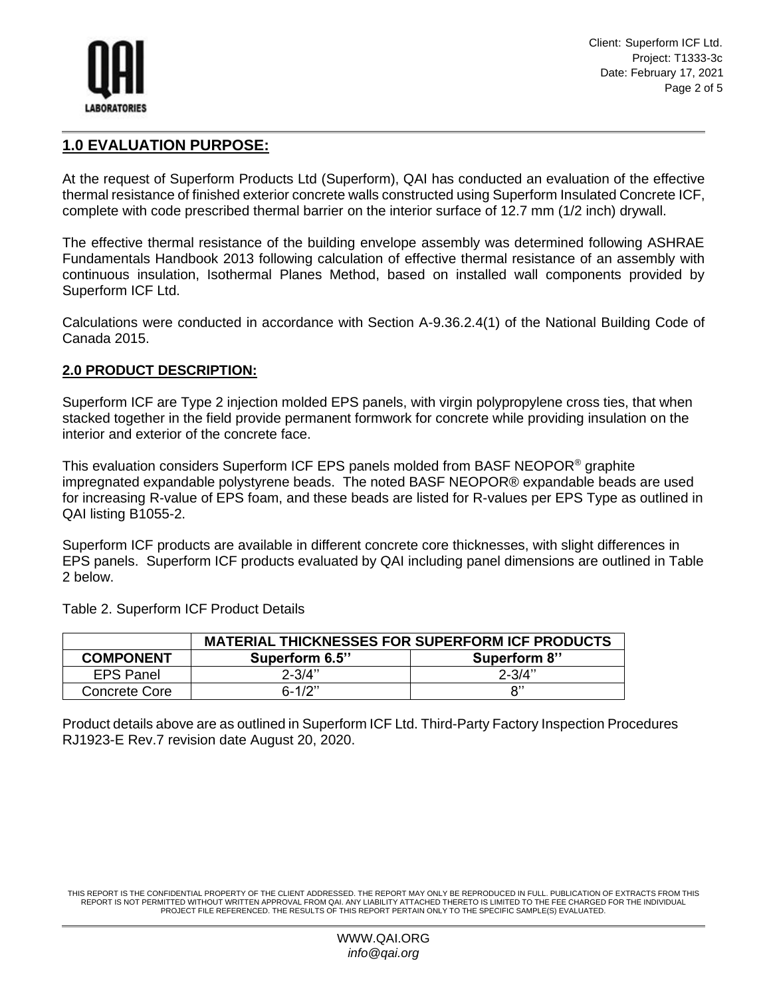

Client: Superform ICF Ltd. Project: T1333-3c Date: February 17, 2021 Page 2 of 5

## **1.0 EVALUATION PURPOSE:**

At the request of Superform Products Ltd (Superform), QAI has conducted an evaluation of the effective thermal resistance of finished exterior concrete walls constructed using Superform Insulated Concrete ICF, complete with code prescribed thermal barrier on the interior surface of 12.7 mm (1/2 inch) drywall.

The effective thermal resistance of the building envelope assembly was determined following ASHRAE Fundamentals Handbook 2013 following calculation of effective thermal resistance of an assembly with continuous insulation, Isothermal Planes Method, based on installed wall components provided by Superform ICF Ltd.

Calculations were conducted in accordance with Section A-9.36.2.4(1) of the National Building Code of Canada 2015.

### **2.0 PRODUCT DESCRIPTION:**

Superform ICF are Type 2 injection molded EPS panels, with virgin polypropylene cross ties, that when stacked together in the field provide permanent formwork for concrete while providing insulation on the interior and exterior of the concrete face.

This evaluation considers Superform ICF EPS panels molded from BASF NEOPOR® graphite impregnated expandable polystyrene beads. The noted BASF NEOPOR® expandable beads are used for increasing R-value of EPS foam, and these beads are listed for R-values per EPS Type as outlined in QAI listing B1055-2.

Superform ICF products are available in different concrete core thicknesses, with slight differences in EPS panels. Superform ICF products evaluated by QAI including panel dimensions are outlined in Table 2 below.

Table 2. Superform ICF Product Details

|                  | <b>MATERIAL THICKNESSES FOR SUPERFORM ICF PRODUCTS</b> |              |  |
|------------------|--------------------------------------------------------|--------------|--|
| <b>COMPONENT</b> | Superform 6.5"                                         | Superform 8" |  |
| <b>EPS Panel</b> | $2 - 3/4"$                                             | $2 - 3/4"$   |  |
| Concrete Core    | $6 - 1/2"$                                             | 8"           |  |

Product details above are as outlined in Superform ICF Ltd. Third-Party Factory Inspection Procedures RJ1923-E Rev.7 revision date August 20, 2020.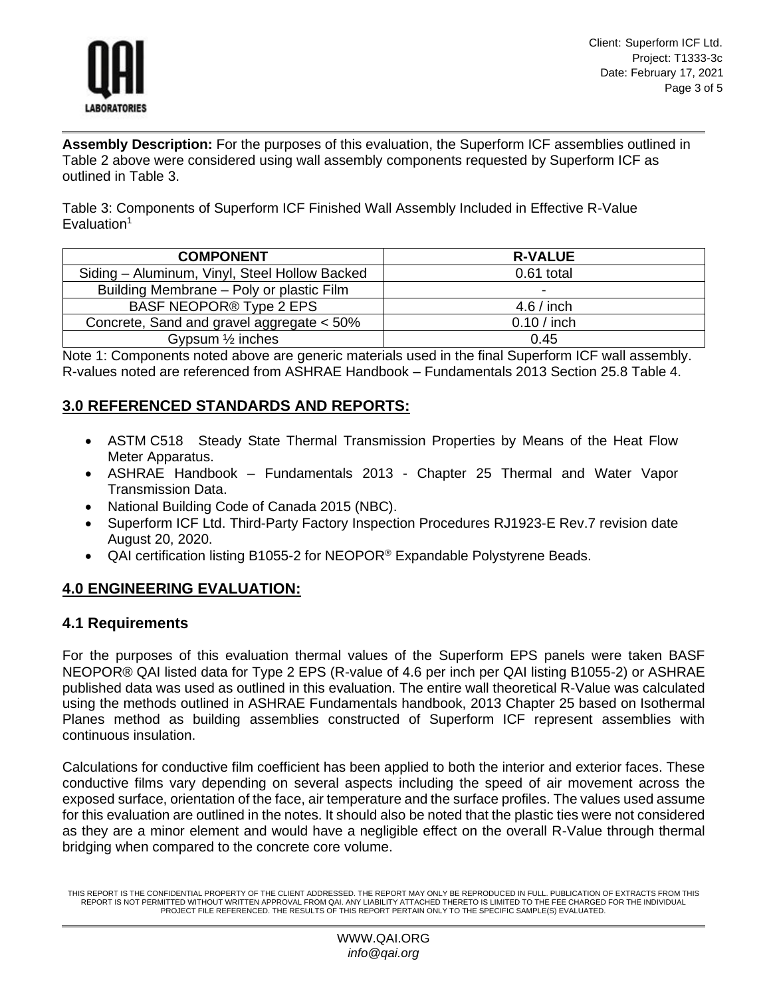

**Assembly Description:** For the purposes of this evaluation, the Superform ICF assemblies outlined in Table 2 above were considered using wall assembly components requested by Superform ICF as outlined in Table 3.

Table 3: Components of Superform ICF Finished Wall Assembly Included in Effective R-Value Evaluation $1$ 

| <b>COMPONENT</b>                              | <b>R-VALUE</b> |
|-----------------------------------------------|----------------|
| Siding - Aluminum, Vinyl, Steel Hollow Backed | 0.61 total     |
| Building Membrane - Poly or plastic Film      |                |
| BASF NEOPOR <sup>®</sup> Type 2 EPS           | $4.6/$ inch    |
| Concrete, Sand and gravel aggregate < 50%     | $0.10/$ inch   |
| Gypsum $\frac{1}{2}$ inches                   | 0.45           |

Note 1: Components noted above are generic materials used in the final Superform ICF wall assembly. R-values noted are referenced from ASHRAE Handbook – Fundamentals 2013 Section 25.8 Table 4.

## **3.0 REFERENCED STANDARDS AND REPORTS:**

- ASTM C518 Steady State Thermal Transmission Properties by Means of the Heat Flow Meter Apparatus.
- ASHRAE Handbook Fundamentals 2013 Chapter 25 Thermal and Water Vapor Transmission Data.
- National Building Code of Canada 2015 (NBC).
- Superform ICF Ltd. Third-Party Factory Inspection Procedures RJ1923-E Rev.7 revision date August 20, 2020.
- QAI certification listing B1055-2 for NEOPOR<sup>®</sup> Expandable Polystyrene Beads.

## **4.0 ENGINEERING EVALUATION:**

#### **4.1 Requirements**

For the purposes of this evaluation thermal values of the Superform EPS panels were taken BASF NEOPOR® QAI listed data for Type 2 EPS (R-value of 4.6 per inch per QAI listing B1055-2) or ASHRAE published data was used as outlined in this evaluation. The entire wall theoretical R-Value was calculated using the methods outlined in ASHRAE Fundamentals handbook, 2013 Chapter 25 based on Isothermal Planes method as building assemblies constructed of Superform ICF represent assemblies with continuous insulation.

Calculations for conductive film coefficient has been applied to both the interior and exterior faces. These conductive films vary depending on several aspects including the speed of air movement across the exposed surface, orientation of the face, air temperature and the surface profiles. The values used assume for this evaluation are outlined in the notes. It should also be noted that the plastic ties were not considered as they are a minor element and would have a negligible effect on the overall R-Value through thermal bridging when compared to the concrete core volume.

THIS REPORT IS THE CONFIDENTIAL PROPERTY OF THE CLIENT ADDRESSED. THE REPORT MAY ONLY BE REPRODUCED IN FULL. PUBLICATION OF EXTRACTS FROM THIS<br>REPORT IS NOT PERMITTED WITHOUT WRITTEN APPROVAL FROM QAI. ANY LIABILITY ATTACH PROJECT FILE REFERENCED. THE RESULTS OF THIS REPORT PERTAIN ONLY TO THE SPECIFIC SAMPLE(S) EVALUATED.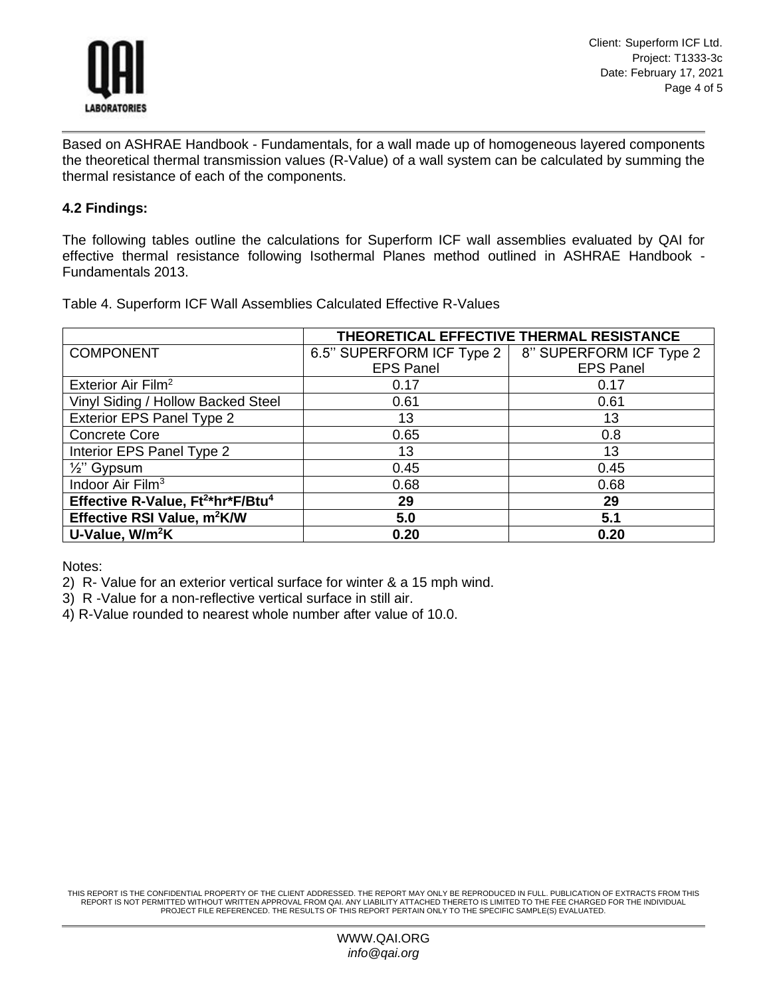

Based on ASHRAE Handbook - Fundamentals, for a wall made up of homogeneous layered components the theoretical thermal transmission values (R-Value) of a wall system can be calculated by summing the thermal resistance of each of the components.

#### **4.2 Findings:**

The following tables outline the calculations for Superform ICF wall assemblies evaluated by QAI for effective thermal resistance following Isothermal Planes method outlined in ASHRAE Handbook - Fundamentals 2013.

Table 4. Superform ICF Wall Assemblies Calculated Effective R-Values

|                                                           | THEORETICAL EFFECTIVE THERMAL RESISTANCE |                         |  |
|-----------------------------------------------------------|------------------------------------------|-------------------------|--|
| <b>COMPONENT</b>                                          | 6.5" SUPERFORM ICF Type 2                | 8" SUPERFORM ICF Type 2 |  |
|                                                           | <b>EPS Panel</b>                         | <b>EPS Panel</b>        |  |
| Exterior Air Film <sup>2</sup>                            | 0.17                                     | 0.17                    |  |
| Vinyl Siding / Hollow Backed Steel                        | 0.61                                     | 0.61                    |  |
| <b>Exterior EPS Panel Type 2</b>                          | 13                                       | 13                      |  |
| <b>Concrete Core</b>                                      | 0.65                                     | 0.8                     |  |
| Interior EPS Panel Type 2                                 | 13                                       | 13                      |  |
| $\frac{1}{2}$ " Gypsum                                    | 0.45                                     | 0.45                    |  |
| Indoor Air Film <sup>3</sup>                              | 0.68                                     | 0.68                    |  |
| Effective R-Value, Ft <sup>2*</sup> hr*F/Btu <sup>4</sup> | 29                                       | 29                      |  |
| Effective RSI Value, m <sup>2</sup> K/W                   | 5.0                                      | 5.1                     |  |
| U-Value, W/m <sup>2</sup> K                               | 0.20                                     | 0.20                    |  |

Notes:

2) R- Value for an exterior vertical surface for winter & a 15 mph wind.

3) R -Value for a non-reflective vertical surface in still air.

4) R-Value rounded to nearest whole number after value of 10.0.